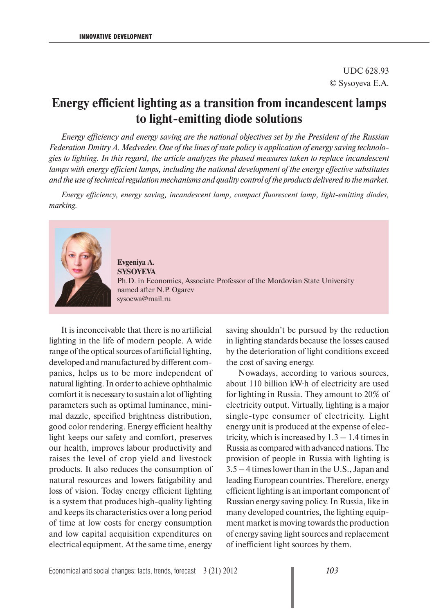## UDC 628.93 © Sysoyeva E.A.

## **Energy efficient lighting as a transition from incandescent lamps to light-emitting diode solutions**

*Energy efficiency and energy saving are the national objectives set by the President of the Russian Federation Dmitry A. Medvedev. One of the lines of state policy is application of energy saving technologies to lighting. In this regard, the article analyzes the phased measures taken to replace incandescent lamps with energy efficient lamps, including the national development of the energy effective substitutes and the use of technical regulation mechanisms and quality control of the products delivered to the market.*

*Energy efficiency, energy saving, incandescent lamp, compact fluorescent lamp, light-emitting diodes, marking.* 



**Evgeniya A. SYSOYEVA** Ph.D. in Economics, Associate Professor of the Mordovian State University named after N.P. Ogarev sysoewa@mail.ru

It is inconceivable that there is no artificial lighting in the life of modern people. A wide range of the optical sources of artificial lighting, developed and manufactured by different companies, helps us to be more independent of natural lighting. In order to achieve ophthalmic comfort it is necessary to sustain a lot of lighting parameters such as optimal luminance, minimal dazzle, specified brightness distribution, good color rendering. Energy efficient healthy light keeps our safety and comfort, preserves our health, improves labour productivity and raises the level of crop yield and livestock products. It also reduces the consumption of natural resources and lowers fatigability and loss of vision. Today energy efficient lighting is a system that produces high-quality lighting and keeps its characteristics over a long period of time at low costs for energy consumption and low capital acquisition expenditures on electrical equipment. At the same time, energy

saving shouldn't be pursued by the reduction in lighting standards because the losses caused by the deterioration of light conditions exceed the cost of saving energy.

Nowadays, according to various sources, about 110 billion kW·h of electricity are used for lighting in Russia. They amount to 20% of electricity output. Virtually, lighting is a major single-type consumer of electricity. Light energy unit is produced at the expense of electricity, which is increased by  $1.3 - 1.4$  times in Russia as compared with advanced nations. The provision of people in Russia with lighting is 3.5 – 4 times lower than in the U.S., Japan and leading European countries. Therefore, energy efficient lighting is an important component of Russian energy saving policy. In Russia, like in many developed countries, the lighting equipment market is moving towards the production of energy saving light sources and replacement of inefficient light sources by them.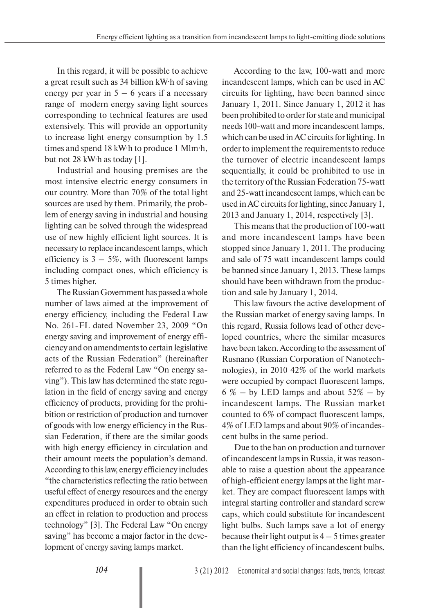In this regard, it will be possible to achieve a great result such as 34 billion kW·h of saving energy per year in  $5 - 6$  years if a necessary range of modern energy saving light sources corresponding to technical features are used extensively. This will provide an opportunity to increase light energy consumption by 1.5 times and spend 18 kW·h to produce 1 Mlm·h, but not 28 kW·h as today [1].

Industrial and housing premises are the most intensive electric energy consumers in our country. More than 70% of the total light sources are used by them. Primarily, the problem of energy saving in industrial and housing lighting can be solved through the widespread use of new highly efficient light sources. It is necessary to replace incandescent lamps, which efficiency is  $3 - 5\%$ , with fluorescent lamps including compact ones, which efficiency is 5 times higher.

The Russian Government has passed a whole number of laws aimed at the improvement of energy efficiency, including the Federal Law No. 261-FL dated November 23, 2009 "On energy saving and improvement of energy efficiency and on amendments to certain legislative acts of the Russian Federation" (hereinafter referred to as the Federal Law "On energy saving"). This law has determined the state regulation in the field of energy saving and energy efficiency of products, providing for the prohibition or restriction of production and turnover of goods with low energy efficiency in the Russian Federation, if there are the similar goods with high energy efficiency in circulation and their amount meets the population's demand. According to this law, energy efficiency includes "the characteristics reflecting the ratio between useful effect of energy resources and the energy expenditures produced in order to obtain such an effect in relation to production and process technology" [3]. The Federal Law "On energy saving" has become a major factor in the development of energy saving lamps market.

According to the law, 100-watt and more incandescent lamps, which can be used in AC circuits for lighting, have been banned since January 1, 2011. Since January 1, 2012 it has been prohibited to order for state and municipal needs 100-watt and more incandescent lamps, which can be used in AC circuits for lighting. In order to implement the requirements to reduce the turnover of electric incandescent lamps sequentially, it could be prohibited to use in the territory of the Russian Federation 75-watt and 25-watt incandescent lamps, which can be used in AC circuits for lighting, since January 1, 2013 and January 1, 2014, respectively [3].

This means that the production of 100-watt and more incandescent lamps have been stopped since January 1, 2011. The producing and sale of 75 watt incandescent lamps could be banned since January 1, 2013. These lamps should have been withdrawn from the production and sale by January 1, 2014.

This law favours the active development of the Russian market of energy saving lamps. In this regard, Russia follows lead of other developed countries, where the similar measures have been taken. According to the assessment of Rusnano (Russian Corporation of Nanotechnologies), in 2010 42% of the world markets were occupied by compact fluorescent lamps, 6 % – by LED lamps and about  $52\%$  – by incandescent lamps. The Russian market counted to 6% of compact fluorescent lamps, 4% of LED lamps and about 90% of incandescent bulbs in the same period.

Due to the ban on production and turnover of incandescent lamps in Russia, it was reasonable to raise a question about the appearance of high-efficient energy lamps at the light market. They are compact fluorescent lamps with integral starting controller and standard screw caps, which could substitute for incandescent light bulbs. Such lamps save a lot of energy because their light output is  $4 - 5$  times greater than the light efficiency of incandescent bulbs.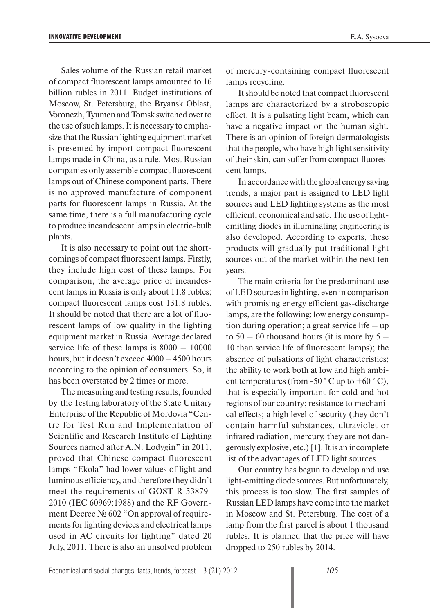Sales volume of the Russian retail market of compact fluorescent lamps amounted to 16 billion rubles in 2011. Budget institutions of Moscow, St. Petersburg, the Bryansk Oblast, Voronezh, Tyumen and Tomsk switched over to the use of such lamps. It is necessary to emphasize that the Russian lighting equipment market is presented by import compact fluorescent lamps made in China, as a rule. Most Russian companies only assemble compact fluorescent lamps out of Chinese component parts. There is no approved manufacture of component parts for fluorescent lamps in Russia. At the same time, there is a full manufacturing cycle to produce incandescent lamps in electric-bulb plants.

It is also necessary to point out the shortcomings of compact fluorescent lamps. Firstly, they include high cost of these lamps. For comparison, the average price of incandescent lamps in Russia is only about 11.8 rubles; compact fluorescent lamps cost 131.8 rubles. It should be noted that there are a lot of fluorescent lamps of low quality in the lighting equipment market in Russia. Average declared service life of these lamps is  $8000 - 10000$ hours, but it doesn't exceed 4000 – 4500 hours according to the opinion of consumers. So, it has been overstated by 2 times or more.

The measuring and testing results, founded by the Testing laboratory of the State Unitary Enterprise of the Republic of Mordovia "Centre for Test Run and Implementation of Scientific and Research Institute of Lighting Sources named after A.N. Lodygin" in 2011, proved that Chinese compact fluorescent lamps "Ekola" had lower values of light and luminous efficiency, and therefore they didn't meet the requirements of GOST R 53879- 2010 (IEC 60969:1988) and the RF Government Decree № 602 "On approval of requirements for lighting devices and electrical lamps used in AC circuits for lighting" dated 20 July, 2011. There is also an unsolved problem

of mercury-containing compact fluorescent lamps recycling.

It should be noted that compact fluorescent lamps are characterized by a stroboscopic effect. It is a pulsating light beam, which can have a negative impact on the human sight. There is an opinion of foreign dermatologists that the people, who have high light sensitivity of their skin, can suffer from compact fluorescent lamps.

In accordance with the global energy saving trends, a major part is assigned to LED light sources and LED lighting systems as the most efficient, economical and safe. The use of lightemitting diodes in illuminating engineering is also developed. According to experts, these products will gradually put traditional light sources out of the market within the next ten years.

The main criteria for the predominant use of LED sources in lighting, even in comparison with promising energy efficient gas-discharge lamps, are the following: low energy consumption during operation; a great service life – up to  $50 - 60$  thousand hours (it is more by  $5 -$ 10 than service life of fluorescent lamps); the absence of pulsations of light characteristics; the ability to work both at low and high ambient temperatures (from -50  $\degree$  C up to +60  $\degree$  C), that is especially important for cold and hot regions of our country; resistance to mechanical effects; a high level of security (they don't contain harmful substances, ultraviolet or infrared radiation, mercury, they are not dangerously explosive, etc.) [1]. It is an incomplete list of the advantages of LED light sources.

Our country has begun to develop and use light-emitting diode sources. But unfortunately, this process is too slow. The first samples of Russian LED lamps have come into the market in Moscow and St. Petersburg. The cost of a lamp from the first parcel is about 1 thousand rubles. It is planned that the price will have dropped to 250 rubles by 2014.